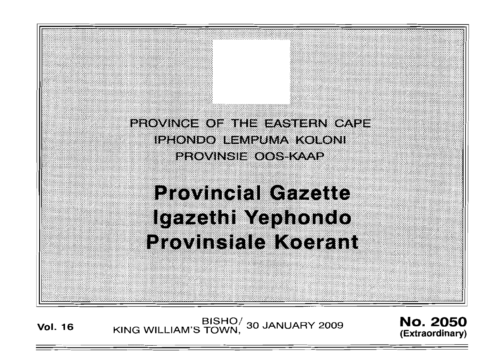PROVINCE OF THE EASTERN CAPE **IPHONDO LEMPUMA KOLONI PROVINSIE OOS KAAP** 

**Provincial Gazette** Igazethi Yephondo **Provinsiale Koerant** 

BISHO<sup>/</sup> 30 JANUARY 2009 **No. 2050**<br>Extraordinamy King William's Town, 30 JANUARY 2009

**(Extraordinary)**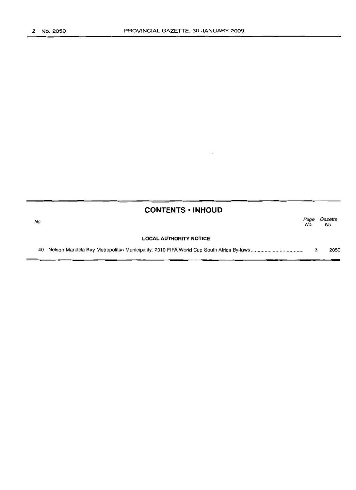| <b>CONTENTS · INHOUD</b> |  |
|--------------------------|--|
|--------------------------|--|

| No. |                               | Page<br>No. | Gazette<br>No. |  |
|-----|-------------------------------|-------------|----------------|--|
|     | <b>LOCAL AUTHORITY NOTICE</b> |             |                |  |
|     |                               |             | 2050           |  |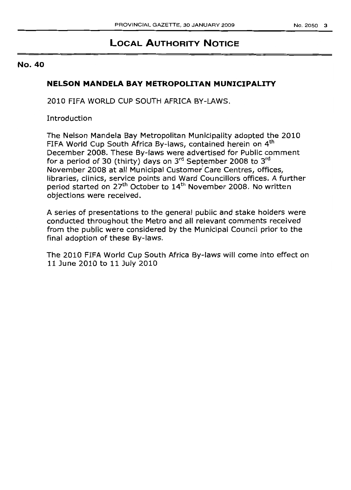# **LOCAL AUTHORITY NOTICE**

## No. 40

## **NELSON MANDELA BAY METROPOLITAN MUNICIPALITY**

2010 FIFA WORLD CUP SOUTH AFRICA BY-LAWS.

**Introduction** 

The Nelson Mandela Bay Metropolitan Municipality adopted the 2010 FIFA World Cup South Africa By-laws, contained herein on 4<sup>th</sup> December 2008. These By-laws were advertised for Public comment for a period of 30 (thirty) days on  $3^{rd}$  September 2008 to  $3^{rd}$ November 2008 at all Municipal Customer Care Centres, offices, libraries, clinics, service points and Ward Councillors offices. A further period started on 27<sup>th</sup> October to 14<sup>th</sup> November 2008. No written objections were received.

A series of presentations to the general public and stake holders were conducted throughout the Metro and all relevant comments received from the public were considered by the Municipal Council prior to the final adoption of these By-laws.

The 2010 FIFA World Cup South Africa By-laws will come into effect on 11 June 2010 to 11 July 2010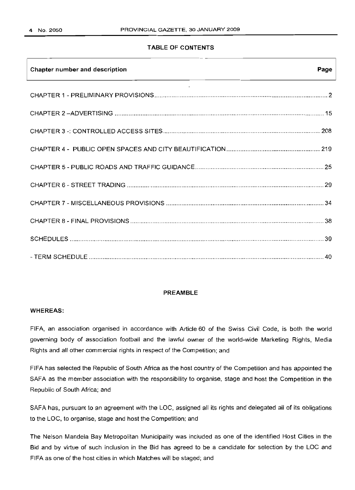## **TABLE OF CONTENTS**

| Chapter number and description | Page |
|--------------------------------|------|
|                                |      |
|                                |      |
|                                |      |
|                                |      |
|                                |      |
|                                |      |
|                                |      |
|                                |      |
|                                |      |
|                                |      |

## **PREAMBLE**

#### **WHEREAS:**

FIFA, an association organised in accordance with Article 60 of the Swiss Civil Code, is both the world governing body of association football and the lawful owner of the world-wide Marketing Rights, Media Rights and all other commercial rights in respect of the Competition; and

FIFA has selected the Republic of South Africa as the host country of the Competition and has appointed the SAFA as the member association with the responsibility to organise, stage and host the Competition in the Republic of South Africa; and

SAFA has, pursuant to an agreement with the LOC, assigned all its rights and delegated all of its obligations to the LOC, to organise, stage and host the Competition; and

The Nelson Mandela Bay Metropolitan Municipality was included as one of the identified Host Cities in the Bid and by virtue of such inclusion in the Bid has agreed to be a candidate for selection by the LOC and FIFA as one of the host cities in which Matches will be staged; and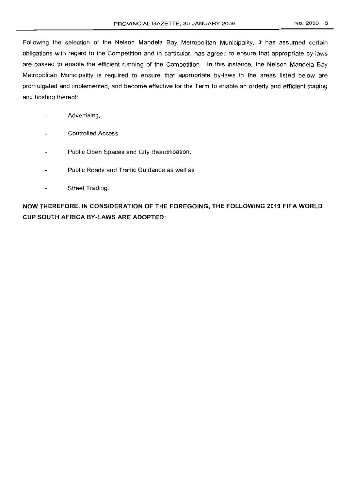Following the selection of the Nelson Mandela Bay Metropolitan Municipality, it has assumed certain obligations with regard to the Competition and in particular, has agreed to ensure that appropriate by-laws are passed to enable the efficient running of the Competition. In this instance, the Nelson Mandela Bay Metropolitan Municipality is required to ensure that appropriate by-laws in the areas listed below are promulgated and implemented, and become effective for the Term to enable an orderly and efficient staging and hosting thereof:

- Advertising,  $\overline{a}$
- Controlled Access,
- Public Open Spaces and City Beautification,
- Public Roads and Traffic Guidance as well as
- Street Trading.  $\overline{a}$

**NOW THEREFORE, IN CONSIDERATION OF THE FOREGOING, THE FOLLOWING 2010 FIFA WORLD CUP SOUTH AFRICA BY-LAWS ARE ADOPTED:**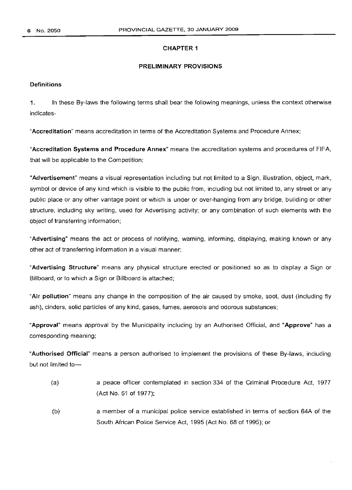## CHAPTER 1

## PRELIMINARY PROVISIONS

## **Definitions**

1. In these By-laws the following terms shall bear the following meanings, unless the context otherwise indicates-

"Accreditation" means accreditation in terms of the Accreditation Systems and Procedure Annex;

"Accreditation Systems and Procedure Annex" means the accreditation systems and procedures of FIFA, that will be applicable to the Competition;

"Advertisement" means a visual representation including but not limited to a Sign, illustration, object, mark, symbol or device of any kind which is visible to the public from, including but not limited to, any street or any public place or any other vantage point or which is under or over-hanging from any bridge, building or other structure, including sky writing, used for Advertising activity; or any combination of such elements with the object of transferring information;

"Advertising" means the act or process of notifying, warning, informing, displaying, making known or any other act of transferring information in a visual manner;

"Advertising Structure" means any physical structure erected or positioned so as to display a Sign or Billboard, or to which a Sign or Billboard is attached;

"Air pollution" means any change in the composition of the air caused by smoke, soot, dust (including fly ash), cinders, solid particles of any kind, gases, fumes, aerosols and odorous substances;

"Approval" means approval by the Municipality including by an Authorised Official, and "Approve" has a corresponding meaning;

"Authorised Official" means a person authorised to implement the provisions of these By-laws, including but not limited to-

- (a) a peace officer contemplated in section 334 of the Criminal Procedure Act, 1977 (Act No. 51 of 1977);
- (b) a member of a municipal police service established in terms of section 64A of the South African Police Service Act, 1995 (Act No. 68 of 1995); or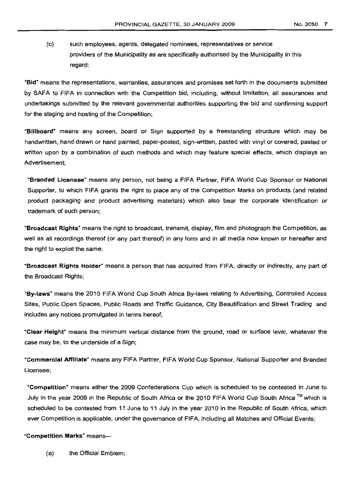(c) such employees, agents, delegated nominees, representatives or service providers of the Municipality as are specifically authorised by the Municipality in this regard;:

"Bid" means the representations, warranties, assurances and promises set forth in the documents submitted by SAFA to FIFA in connection with the Competition bid, including, without limitation, all assurances and undertakings submitted by the relevant governmental authorities supporting the bid and confirming support for the staging and hosting of the Competition;

"Billboard" means any screen, board or Sign supported by a freestanding structure which may be handwritten, hand drawn or hand painted, paper-posted, sign-written, pasted with vinyl or covered, pasted or written upon by a combination of such methods and which may feature special effects, which displays an Advertisement;

"Branded Licensee" means any person, not being a FIFA Partner, FIFA World Cup Sponsor or National Supporter, to which FIFA grants the right to place any of the Competition Marks on products (and related product packaging and product advertising materials) which also bear the corporate identification or trademark of such person;

"Broadcast Rights" means the right to broadcast, transmit, display, film and photograph the Competition, as well as all recordings thereof (or any part thereof) in any form and in all media now known or hereafter and the right to exploit the same;

"Broadcast Rights Holder" means a person that has acquired from FIFA, directly or indirectly, any part of the Broadcast Rights;

"By-laws" means the 2010 FIFA World Cup South Africa By-laws relating to Advertising, Controlled Access Sites, Public Open Spaces, Public Roads and Traffic Guidance, City Beautification and Street Trading and includes any notices promulgated in terms hereof;

"Clear Height" means the minimum vertical distance from the ground, road or surface level, whatever the case may be, to the underside of a Sign;

"Commercial Affiliate" means any FIFA Partner, FIFA World Cup Sponsor, National Supporter and Branded Licensee;

"Competition" means either the 2009 Confederations Cup which is scheduled to be contested in June to July in the year 2009 in the Republic of South Africa or the 2010 FIFA World Cup South Africa™ which is scheduled to be contested from 11 June to 11 July in the year 2010 in the Republic of South Africa. which ever Competition is applicable, under the governance of FIFA, including all Matches and Official Events;

"Competition Marks" means-

(a) the Official Emblem;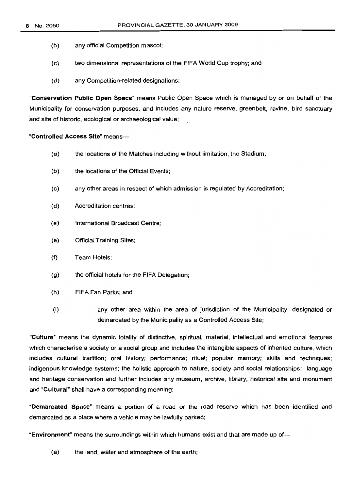- (b) any official Competition mascot;
- (c) two dimensional representations of the FIFA World Cup trophy; and
- (d) any Competition-related designations;

"Conservation Public Open Space" means Public Open Space which is managed by or on behalf of the Municipality for conservation purposes, and includes any nature reserve, greenbelt, ravine, bird sanctuary and site of historic, ecological or archaeological value;

"Controlled Access Site" means-

- (a) the locations of the Matches including without limitation, the Stadium;
- (b) the locations of the Official Events;
- (c) any other areas in respect of which admission is regulated by Accreditation;
- (d) Accreditation centres;
- (e) International Broadcast Centre;
- (e) Official Training Sites;
- (f) Team Hotels;
- (g) the official hotels for the FIFA Delegation;
- (h) FIFA Fan Parks; and
- (i) any other area within the area of jurisdiction of the Municipality, designated or demarcated by the Municipality as a Controlled Access Site;

"Culture" means the dynamic totality of distinctive, spiritual, material, intellectual and emotional features which characterise a society or a social group and includes the intangible aspects of inherited culture, which includes cultural tradition; oral history; performance; ritual; popular memory; skills and techniques; indigenous knowledge systems; the holistic approach to nature, society and social relationships; language and heritage conservation and further includes any museum, archive, library, historical site and monument and "Cultural" shall have a corresponding meaning;

"Demarcated Space" means a portion of a road or the road reserve which has been identified and demarcated as a place where a vehicle may be lawfully parked;

"Environment" means the surroundings within which humans exist and that are made up of-

(a) the land, water and atmosphere of the earth;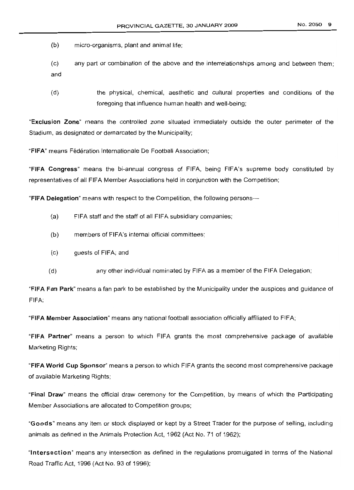(b) micro-organisms, plant and animal life;

(c) any part or combination of the above and the interrelationships among and between them; and

(d) the physical, chemical, aesthetic and cultural properties and conditions of the foregoing that influence human health and well-being;

"Exclusion Zone" means the controlled zone situated immediately outside the outer perimeter of the Stadium, as designated or demarcated by the Municipality;

"FIFA" means Fédération Internationale De Football Association;

"FIFA Congress" means the bi-annual congress of FIFA, being F1FA's supreme body constituted by representatives of all FIFA Member Associations held in conjunction with the Competition;

"FIFA Delegation" means with respect to the Competition, the following persons---

- (a) FIFA staff and the staff of all FIFA subsidiary companies;
- (b) members of FIFA's internal official committees;
- (c) guests of FIFA; and
- (d) any other individual nominated by FIFA as a member of the FIFA Delegation;

"FIFA Fan Park" means a fan park to be established by the Municipality under the auspices and guidance of FIFA;

"FIFA Member Association" means any national football association officially affiliated to FIFA;

"FIFA Partner" means a person to which FIFA grants the most comprehensive package of available Marketing Rights;

"FIFA World Cup Sponsor" means a person to which FIFA grants the second most comprehensive package of available Marketing Rights;

"Final Draw" means the official draw ceremony for the Competition, by means of which the Participating Member Associations are allocated to Competition groups;

"Goods" means any item or stock displayed or kept by a Street Trader for the purpose of selling, including animals as defined in the Animals Protection Act, 1962 (Act No. 71 of 1962);

"Intersection" means any intersection as defined in the regulations promulgated in terms of the National Road Traffic Act, 1996 (Act No. 93 of 1996);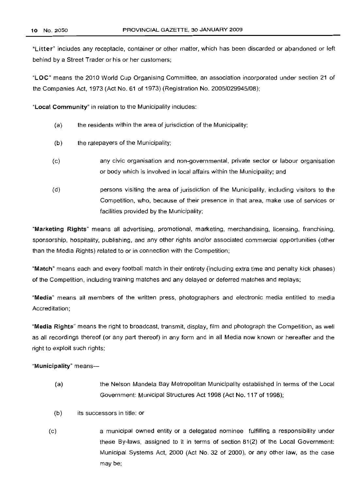"Litter" includes any receptacle, container or other matter, which has been discarded or abandoned or left behind by a Street Trader or his or her customers;

"LOC" means the 2010 World Cup Organising Committee, an association incorporated under section 21 of the Companies Act, 1973 (Act No. 61 of 1973) (Registration No. 2005/029945/08);

"Local Community" in relation to the Municipality includes:

- (a) the residents within the area of jurisdiction of the Municipality;
- (b) the ratepayers of the Municipality;
- (c) any civic organisation and non-governmental, private sector or labour organisation or body which is involved in local affairs within the Municipality; and
- (d) persons visiting the area of jurisdiction of the Municipality, including visitors to the Competition, who, because of their presence in that area, make use of services or facilities provided by the Municipality;

"Marketing Rights" means all advertising, promotional, marketing, merchandising, licensing, franchising, sponsorship, hospitality, publishing, and any other rights and/or associated commercial opportunities (other than the Media Rights) related to or in connection with the Competition;

"Match" means each and every football match in their entirety (including extra time and penalty kick phases) of the Competition, including training matches and any delayed or deferred matches and replays;

"Media" means all members of the written press, photographers and electronic media entitled to media Accreditation;

"Media Rights" means the right to broadcast, transmit, display, film and photograph the Competition, as well as all recordings thereof (or any part thereof) in any form and in all Media now known or hereafter and the right to exploit such rights;

"Municipality" means-

- (a) the Nelson Mandela Bay Metropolitan Municipality established in terms of the Local Government: Municipal Structures Act 1998 (Act No. 117 of 1998);
- (b) its successors in title; or
- (c) a municipal owned entity or a delegated nominee fulfilling a responsibility under these By-laws, assigned to it in terms of section 81(2) of the Local Government: Municipal Systems Act, 2000 (Act No. 32 of 2000), or any other law, as the case may be;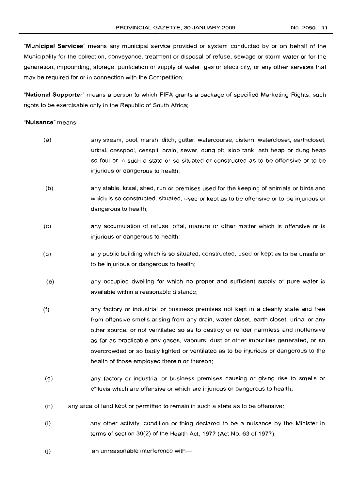"Municipal Services" means any municipal service provided or system conducted by or on behalf of the Municipality for the collection, conveyance, treatment or disposal of refuse, sewage or storm water or for the generation, impounding, storage, purification or supply of water, gas or electricity, or any other services that may be required for or in connection with the Competition;

"National Supporter" means a person to which FIFA grants a package of specified Marketing Rights, such rights to be exercisable only in the Republic of South Africa;

#### "Nuisance" means-

- (a) any stream, pool, marsh, ditch, gutter, watercourse, cistern, watercloset, earthcloset, urinal, cesspool, cesspit, drain, sewer, dung pit, slop tank, ash heap or dung heap so foul or in such a state or so situated or constructed as to be offensive or to be injurious or dangerous to health;
- (b) any stable, kraal, shed, run or premises used for the keeping of animals or birds and which is so constructed, situated, used or kept as to be offensive or to be injurious or dangerous to health;
- (c) any accumulation of refuse, offal, manure or other matter which is offensive or is injurious or dangerous to health;
- (d) any public building which is so situated, constructed, used or kept as to be unsafe or to be injurious or dangerous to health;
- (e) any occupied dwelling for which no proper and sufficient supply of pure water is available within a reasonable distance;
- (f) any factory or industrial or business premises not kept in a cleanly state and free from offensive smells arising from any drain, water closet, earth closet, urinal or any other source, or not ventilated so as to destroy or render harmless and inoffensive as far as practicable any gases, vapours, dust or other impurities generated, or so overcrowded or so badly lighted or ventilated as to be injurious or dangerous to the health of those employed therein or thereon;
- (g) any factory or industrial or business premises causing or giving rise to smells or effluvia which are offensive or which are injurious or dangerous to health;
- (h) any area of land kept or permitted to remain in such a state as to be offensive;
- (i) any other activity, condition or thing declared to be a nuisance by the Minister in terms of section 39(2) of the Health Act, 1977 (Act No. 63 of 1977);
- (j) an unreasonable interference with-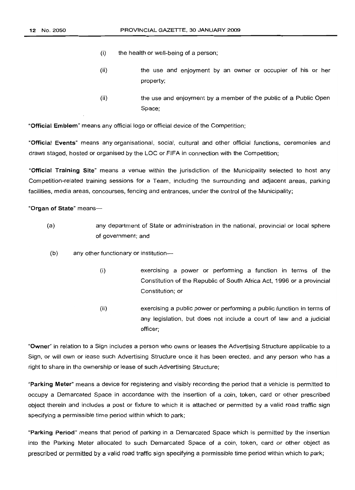- (i) the health or well-being of a person;
- (ii) the use and enjoyment by an owner or occupier of his or her property;
- (ii) the use and enjoyment by a member of the public of a Public Open Space;

"Official Emblem" means any official logo or official device of the Competition;

"Official Events" means any organisational, social, cultural and other official functions, ceremonies and draws staged, hosted or organised by the LOC or F/FA in connection with the Competition;

"Official Training Site" means a venue within the jurisdiction of the Municipality selected to host any Competition-related training sessions for a Team, including the surrounding and adjacent areas, parking facilities, media areas, concourses, fencing and entrances, under the control of the Municipality;

## "Organ of State" means-

- (a) any department of State or administration in the national, provincial or local sphere of government; and
- (b) any other functionary or institution-
	- (i) exercising a power or performing a function in terms of the Constitution of the Republic of South Africa Act, 1996 or a provincial Constitution; or
	- (ii) exercising a public power or performing a public function in terms of any legislation, but does not include a court of law and a judicial officer;

"Owner" in relation to a Sign includes a person who owns or leases the Advertising Structure applicable to a Sign, or will own or lease such Advertising Structure once it has been erected, and any person who has a right to share in the ownership or lease of such Advertising Structure;

"Parking Meter" means a device for registering and visibly recording the period that a vehicle is permitted to occupy a Demarcated Space in accordance with the insertion of a coin, token, card or other prescribed object therein and includes a post or fixture to which it is attached or permitted by a valid road traffic sign specifying a permissible time period within which to park;

"Parking Period" means that period of parking in a Demarcated Space which is permitted by the insertion into the Parking Meter allocated to such Demarcated Space of a coin, token, card or other object as prescribed or permitted by a valid road traffic sign specifying a permissible time period within which to park;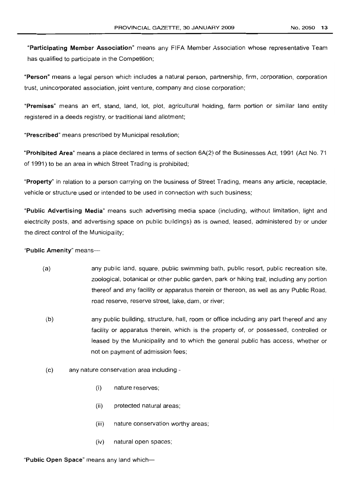"Participating Member Association" means any FIFA Member Association whose representative Team has qualified to participate in the Competition;

"Person" means a legal person which includes a natural person, partnership, firm, corporation, corporation trust, unincorporated association, joint venture, company and close corporation;

"Premises" means an erf, stand, land, lot, plot, agricultural holding, farm portion or similar land entity registered in a deeds registry, or traditional land allotment;

"Prescribed" means prescribed by Municipal resolution;

"Prohibited Area" means a place declared in terms of section 6A(2) of the Businesses Act, 1991 (Act No. 71 of 1991) to be an area in which Street Trading is prohibited;

"Property" in relation to a person carrying on the business of Street Trading, means any article, receptacle, vehicle or structure used or intended to be used in connection with such business;

"Public Advertising Media" means such advertising media space (including, without limitation, light and electricity posts, and advertising space on public buildings) as is owned, leased, administered by or under the direct control of the Municipality;

"Public Amenity" means-

- (a) any public land, square, public swimming bath, public resort, public recreation site, zoological, botanical or other public garden, park or hiking trail, including any portion thereof and any facility or apparatus therein or thereon, as well as any Public Road, road reserve, reserve street, lake, dam, or river;
- (b) any public building, structure, hall, room or office including any part thereof and any facility or apparatus therein, which is the property of, or possessed, controlled or leased by the Municipality and to which the general public has access, whether or not on payment of admission fees;
- (c) any nature conservation area including
	- (i) nature reserves;
	- (ii) protected natural areas;
	- (iii) nature conservation worthy areas;
	- (iv) natural open spaces;

"Public Open Space" means any land which-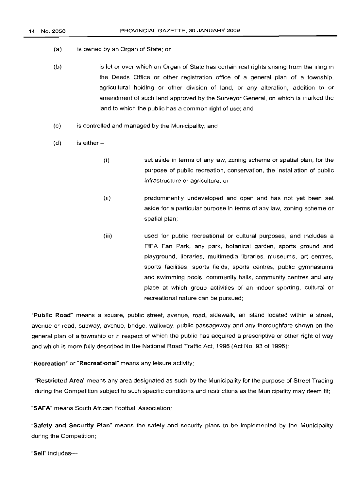- (a) is owned by an Organ of State; or
- (b) is let or over which an Organ of State has certain real rights arising from the filing in the Deeds Office or other registration office of a general plan of a township, agricultural holding or other division of land, or any alteration, addition to or amendment of such land approved by the Surveyor General, on which is marked the land to which the public has a common right of use; and
- (c) is controlled and managed by the Municipality; and
- (d) is either $-$ 
	- (i) set aside in terms of any law, zoning scheme or spatial plan, for the purpose of public recreation, conservation, the installation of public infrastructure or agriculture; or
	- (ii) predominantly undeveloped and open and has not yet been set aside for a particular purpose in terms of any law, zoning scheme or spatial plan;
	- (iii) used for public recreational or cultural purposes, and includes a FIFA Fan Park, any park, botanical garden, sports ground and playground, libraries, multimedia libraries, museums, art centres, sports facilities, sports fields, sports centres, public gymnasiums and swimming pools, community halls, community centres and any place at which group activities of an indoor sporting, cultural or recreational nature can be pursued;

"Public Road" means a square, public street, avenue, road, sidewalk, an island located within a street, avenue or road, subway, avenue, bridge, walkway, public passageway and any thoroughfare shown on the general plan of a township or in respect of which the public has acquired a prescriptive or other right of way and which is more fully described in the National Road Traffic Act, 1996 (Act No. 93 of 1996);

"Recreation" or "Recreational" means any leisure activity;

"Restricted Area" means any area designated as such by the Municipality for the purpose of Street Trading during the Competition subject to such specific conditions and restrictions as the Municipality may deem fit;

"SAFA" means South African Football Association;

"Safety and Security Plan" means the safety and security plans to be implemented by the Municipality during the Competition;

"Sell" includes-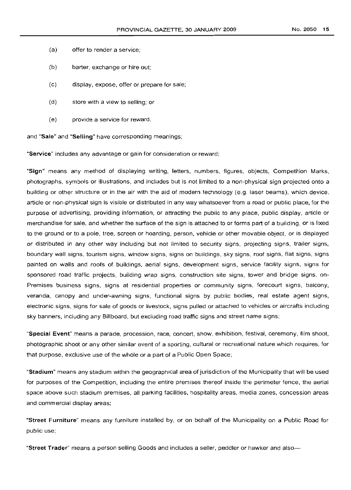- (a) offer to render a service;
- (b) barter, exchange or hire out;
- (c) display, expose, offer or prepare for sale;
- (d) store with a view to selling; or
- (e) provide a service for reward,

and "Sale" and "Selling" have corresponding meanings;

"Service" includes any advantage or gain for consideration or reward;

"Sign" means any method of displaying writing, letters, numbers, figures, objects, Competition Marks, photographs, symbols or illustrations, and includes but is not limited to a non-physical sign projected onto a building or other structure or in the air with the aid of modern technology (e.g. laser beams), which device, article or non-physical sign is visible or distributed in any way whatsoever from a road or public place, for the purpose of advertising, providing information, or attracting the public to any place, public display, article or merchandise for sale, and whether the surface of the sign is attached to or forms part of a building, or is fixed to the ground or to a pole, tree, screen or hoarding, person, vehicle or other movable object, or is displayed or distributed in any other way including but not limited to security signs, projecting signs, trailer signs, boundary wall signs, tourism signs, window signs, signs on buildings, sky signs, roof signs, flat signs, signs painted on walls and roofs of buildings, aerial signs, development signs, service facility signs, signs for sponsored road traffic projects, building wrap signs, construction site signs, tower and bridge signs, on-Premises business signs, signs at residential properties or community signs, forecourt signs, balcony, veranda, canopy and under-awning signs, functional signs by public bodies, real estate agent signs, electronic signs, signs for sale of goods or livestock, signs pulled or attached to vehicles or aircrafts including sky banners, including any Billboard, but excluding road traffic signs and street name signs;

"Special Event" means a parade, procession, race, concert, show, exhibition, festival, ceremony, film shoot, photographic shoot or any other similar event of a sporting, cultural or recreational nature which requires, for that purpose, exclusive use of the whole or a part of a Public Open Space;

"Stadium" means any stadium within the geographical area of jurisdiction of the Municipality that will be used for purposes of the Competition, including the entire premises thereof inside the perimeter fence, the aerial space above such stadium premises, all parking facilities, hospitality areas, media zones, concession areas and commercial display areas;

"Street Furniture" means any furniture installed by, or on behalf of the Municipality on a Public Road for public use;

"Street Trader" means a person selling Goods and includes a seller, peddler or hawker and also-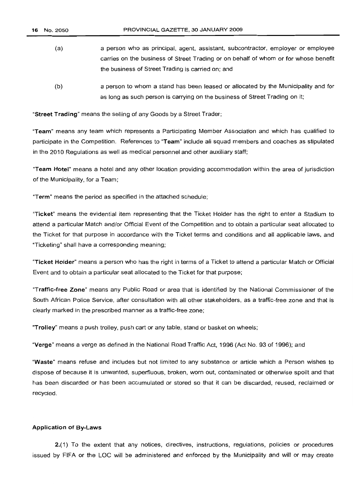- (a) a person who as principal, agent, assistant, subcontractor, employer or employee carries on the business of Street Trading or on behalf of whom or for whose benefit the business of Street Trading is carried on; and
- (b) a person to whom a stand has been leased or allocated by the Municipality and for as long as such person is carrying on the business of Street Trading on it;

"Street Trading" means the selling of any Goods by a Street Trader;

"Team" means any team which represents a Participating Member Association and which has qualified to participate in the Competition. References to "Team" include all squad members and coaches as stipulated in the 2010 Regulations as well as medical personnel and other auxiliary staff;

"Team Hotel" means a hotel and any other location providing accommodation within the area of jurisdiction of the Municipality, for a Team;

"Term" means the period as specified in the attached schedule;

"Ticket" means the evidential item representing that the Ticket Holder has the right to enter a Stadium to attend a particular Match and/or Official Event of the Competition and to obtain a particular seat allocated to the Ticket for that purpose in accordance with the Ticket terms and conditions and all applicable laws, and "Ticketing" shall have a corresponding meaning;

"Ticket Holder" means a person who has the right in terms of a Ticket to attend a particular Match or Official Event and to obtain a particular seat allocated to the Ticket for that purpose;

"Traffic-free Zone" means any Public Road or area that is identified by the National Commissioner of the South African Police Service, after consultation with all other stakeholders, as a traffic-free zone and that is clearly marked in the prescribed manner as a traffic-free zone;

"Trolley" means a push trolley, push cart or any table, stand or basket on wheels;

"Verge" means a verge as defined in the National Road Traffic Act, 1996 (Act No. 93 of 1996); and

"Waste" means refuse and includes but not limited to any substance or article which a Person wishes to dispose of because it is unwanted, superfluous, broken, worn out, contaminated or otherwise spoilt and that has been discarded or has been accumulated or stored so that it can be discarded, reused, reclaimed or recycled.

#### Application of By-Laws

2.(1) To the extent that any notices, directives, instructions, regulations, policies or procedures issued by FIFA or the LOC will be administered and enforced by the Municipality and will or may create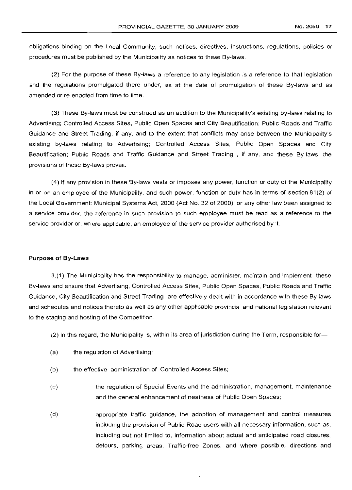obligations binding on the Local Community, such notices, directives, instructions, regulations, policies or procedures must be published by the Municipality as notices to these By-laws.

(2) For the purpose of these By-laws a reference to any legislation is a reference to that legislation and the regulations promulgated there under, as at the date of promulgation of these By-laws and as amended or re-enacted from time to time.

(3) These By-laws must be construed as an addition to the Municipality's existing by-laws relating to Advertising; Controlled Access Sites, Public Open Spaces and City Beautification; Public Roads and Traffic Guidance and Street Trading, if any, and to the extent that conflicts may arise between the Municipality's existing by-laws relating to Advertising; Controlled Access Sites, Public Open Spaces and City Beautification; Public Roads and Traffic Guidance and Street Trading , if any, and these By-laws, the provisions of these By-laws prevail.

(4) If any provision in these By-laws vests or imposes any power, function or duty of the Municipality in or on an employee of the Municipality, and such power, function or duty has in terms of section 81(2) of the Local Government: Municipal Systems Act, 2000 (Act No. 32 of 2000), or any other law been assigned to a service provider, the reference in such provision to such employee must be read as a reference to the service provider or, where applicable, an employee of the service provider authorised by it.

#### Purpose of By-Laws

3.(1) The Municipality has the responsibility to manage, administer. maintain and implement these By-laws and ensure that Advertising, Controlled Access Sites, Public Open Spaces, Public Roads and Traffic Guidance, City Beautification and Street Trading are effectively dealt with in accordance with these By-laws and schedules and notices thereto as well as any other applicable provincial and national legislation relevant to the staging and hosting of the Competition.

- $(2)$  In this regard, the Municipality is, within its area of jurisdiction during the Term, responsible for-
- (a) the requlation of Advertising;
- (b) the effective administration of Controlled Access Sites;
- (c) the regulation of Special Events and the administration. management, maintenance and the general enhancement of neatness of Public Open Spaces;
- (d) appropriate traffic guidance, the adoption of management and control measures including the provision of Public Road users with all necessary information, such as, including but not limited to, information about actual and anticipated road closures, detours, parking areas, Traffic-free Zones, and where possible, directions and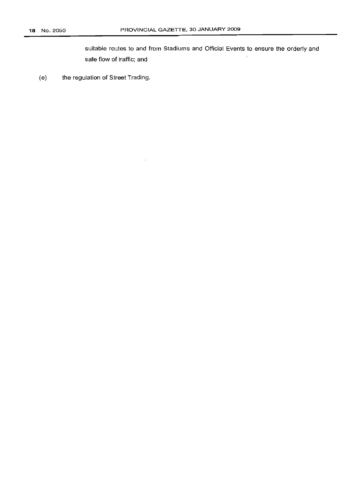suitable routes to and from Stadiums and Official Events to ensure the orderly and safe flow of traffic; and

(e) the regulation of Street Trading.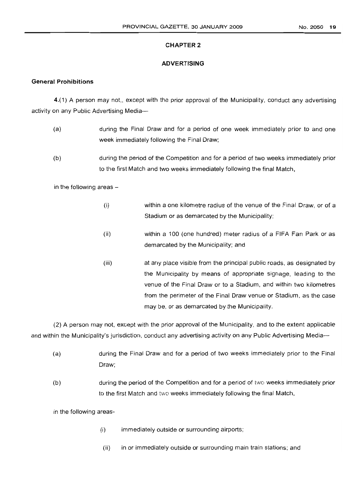## **CHAPTER 2**

## **ADVERTISING**

## **General Prohibitions**

4.(1) A person may not, except with the prior approval of the Municipality, conduct any advertising activity on any Public Advertising Media-

- (a) during the Final Draw and for a period of one week immediately prior to and one week immediately following the Final Draw;
- (b) during the period of the Competition and for a period of two weeks immediately prior to the first Match and two weeks immediately following the final Match,

in the following areas  $-$ 

- (i) within a one kilometre radius of the venue of the Final Draw, or of a Stadium or as demarcated by the Municipality;
- (ii) within a 100 (one hundred) meter radius of a FIFA Fan Park or as demarcated by the Municipality; and
- (iii) at any place visible from the principal public roads, as designated by the Municipality by means of appropriate signage, leading to the venue of the Final Draw or to a Stadium, and within two kilometres from the perimeter of the Final Draw venue or Stadium, as the case may be, or as demarcated by the Municipality.

(2) A person may not, except with the prior approval of the Municipality, and to the extent applicable and within the Municipality's jurisdiction, conduct any advertising activity on any Public Advertising Media--

- (a) during the Final Draw and for a period of two weeks immediately prior to the Final Draw;
- (b) during the period of the Competition and for a period of two weeks immediately prior to the first Match and two weeks immediately following the final Match,

in the following areas-

- (i) immediately outside or surrounding airports;
- (ii) in or immediately outside or surrounding main train stations; and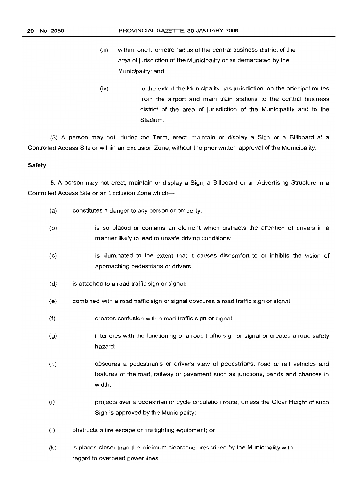- (iii) within one kilometre radius of the central business district of the area of jurisdiction of the Municipality or as demarcated by the Municipality; and
- (iv) to the extent the Municipality has jurisdiction, on the principal routes from the airport and main train stations to the central business district of the area of jurisdiction of the Municipality and to the Stadium.

(3) A person may not, during the Term, erect, maintain or display a Sign or a Billboard at a Controlled Access Site or within an Exclusion Zone, without the prior written approval of the Municipality.

## **Safety**

**5.** A person may not erect, maintain or display a Sign, a Billboard or an Advertising Structure in a Controlled Access Site or an Exclusion Zone which-

- (a) constitutes a danger to any person or property;
- (b) is so placed or contains an element which distracts the attention of drivers in a manner likely to lead to unsafe driving conditions;
- (c) is illuminated to the extent that it causes discomfort to or inhibits the vision of approaching pedestrians or drivers;
- (d) is attached to a road traffic sign or signal;
- (e) combined with a road traffic sign or signal obscures a road traffic sign or signal;
- (f) creates confusion with a road traffic sign or signal;
- (g) interferes with the functioning of a road traffic sign or signal or creates a road safety hazard;
- (h) obscures a pedestrian's or driver's view of pedestrians, road or rail vehicles and features of the road, railway or pavement such as junctions, bends and changes in width;
- (i) projects over a pedestrian or cycle circulation route, unless the Clear Height of such Sign is approved by the Municipality;
- (j) obstructs a fire escape or fire fighting equipment; or
- (k) is placed closer than the minimum clearance prescribed by the Municipality with regard to overhead power lines.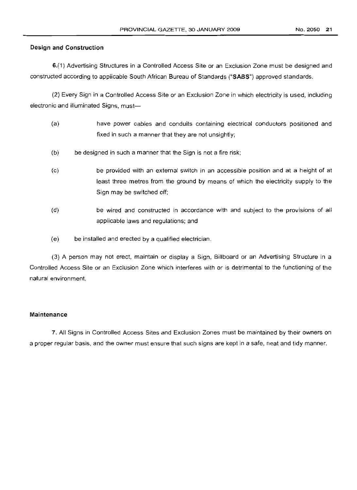## **Design and Construction**

6.(1) Advertising Structures in a Controlled Access Site or an Exclusion Zone must be designed and constructed according to applicable South African Bureau of Standards ("SASS") approved standards.

(2) Every Sign in a Controlled Access Site or an Exclusion Zone in which electricity is used, including electronic and illuminated Signs, must-

- (a) have power cables and conduits containing electrical conductors positioned and fixed in such a manner that they are not unsightly;
- (b) be designed in such a manner that the Sign is not a fire risk;
- (c) be provided with an external switch in an accessible position and at a height of at least three metres from the ground by means of which the electricity supply to the Sign may be switched off;
- (d) be wired and constructed in accordance with and subject to the provisions of all applicable laws and regulations; and
- (e) be installed and erected by a qualified electrician.

(3) A person may not erect, maintain or display a Sign, Billboard or an Advertising Structure in a Controlled Access Site or an Exclusion Zone which interferes with or is detrimental to the functioning of the natural environment.

## **Maintenance**

7. All Signs in Controlled Access Sites and Exclusion Zones must be maintained by their owners on a proper regular basis, and the owner must ensure that such signs are kept in a safe, neat and tidy manner.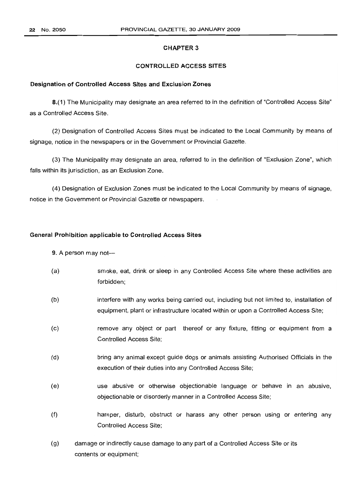## **CHAPTER 3**

## **CONTROLLED ACCESS SITES**

#### **Designation of Controlled Access Sites and Exclusion Zones**

8.(1) The Municipality may designate an area referred to in the definition of "Controlled Access Site" as a Controlled Access Site.

(2) Designation of Controlled Access Sites must be indicated to the Local Community by means of signage, notice in the newspapers or in the Government or Provincial Gazette.

(3) The Municipality may designate an area, referred to in the definition of "Exclusion Zone", which falls within its jurisdiction, as an Exclusion Zone.

(4) Designation of Exclusion Zones must be indicated to the Local Community by means of signage, notice in the Government or Provincial Gazette or newspapers.

## **General Prohibition applicable to Controlled Access Sites**

#### 9. A person may not---

- (a) smoke, eat, drink or sleep in any Controlled Access Site where these activities are forbidden;
- (b) interfere with any works being carried out, including but not limited to, installation of equipment, plant or infrastructure located within or upon a Controlled Access Site;
- (c) remove any object or part thereof or any fixture, fitting or equipment from a Controlled Access Site;
- (d) bring any animal except guide dogs or animals assisting Authorised Officials in the execution of their duties into any Controlled Access Site;
- (e) use abusive or otherwise objectionable language or behave in an abusive, objectionable or disorderly manner in a Controlled Access Site;
- (f) hamper, disturb, obstruct or harass any other person using or entering any Controlled Access Site;
- (g) damage or indirectly cause damage to any part of a Controlled Access Site or its contents or equipment;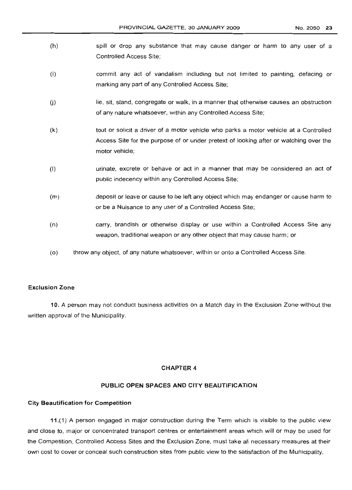- (h) spill or drop any substance that may cause danger or harm to any user of a Controlled Access Site;
- (i) commit any act of vandalism including but not limited to painting, defacing or marking any part of any Controlled Access Site;
- (j) lie, sit, stand, congregate or walk, in a manner that otherwise causes an obstruction of any nature whatsoever, within any Controlled Access Site;
- (k) tout or solicit a driver of a motor vehicle who parks a motor vehicle at a Controlled Access Site for the purpose of or under pretext of looking after or watching over the motor vehicle;
- (I) urinate, excrete or behave or act in a manner that may be considered an act of public indecency within any Controlled Access Site;
- (m) deposit or leave or cause to be left any object which may endanger or cause harm to or be a Nuisance to any user of a Controlled Access Site;
- (n) carry, brandish or otherwise display or use within a Controlled Access Site any weapon, traditional weapon or any other object that may cause harm; or
- (0) throw any object, of any nature whatsoever, within or onto a Controlled Access Site.

## **Exclusion Zone**

10. A person may not conduct business activities on a Match day in the Exclusion Zone without the written approval of the Municipality.

## **CHAPTER 4**

## **PUBLIC OPEN SPACES AND CITY BEAUTIFICATION**

## **City Beautification for Competition**

11.(1) A person engaged in major construction during the Term which is visible to the public view and close to, major or concentrated transport centres or entertainment areas which will or may be used for the Competition, Controlled Access Sites and the Exclusion Zone, must take all necessary measures at their own cost to cover or conceal such construction sites from public view to the satisfaction of the Municipality.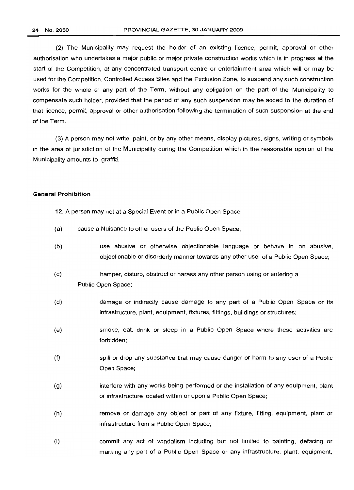(2) The Municipality may request the holder of an existing licence, permit, approval or other authorisation who undertakes a major public or major private construction works which is in progress at the start of the Competition, at any concentrated transport centre or entertainment area which will or may be used for the Competition, Controlled Access Sites and the Exclusion Zone, to suspend any such construction works for the whole or any part of the Term, without any obligation on the part of the Municipality to compensate such holder, provided that the period of any such suspension may be added to the duration of that licence, permit, approval or other authorisation following the termination of such suspension at the end of the Term.

(3) A person may not write, paint, or by any other means, display pictures, signs, writing or symbols in the area of jurisdiction of the Municipality during the Competition which in the reasonable opinion of the Municipality amounts to graffiti.

#### General **Prohibition**

- 12. A person may not at a Special Event or in a Public Open Space-
- (a) cause a Nuisance to other users of the Public Open Space;
- (b) use abusive or otherwise objectionable language or behave in an abusive, objectionable or disorderly manner towards any other user of a Public Open Space;
- (c) hamper, disturb, obstruct or harass any other person using or entering a Public Open Space;
- (d) damage or indirectly cause damage to any part of a Public Open Space or its infrastructure, plant, equipment, fixtures, fittings, buildings or structures;
- (e) smoke, eat, drink or sleep in a Public Open Space where these activities are forbidden;
- (f) spill or drop any substance that may cause danger or harm to any user of a Public Open Space;
- (g) interfere with any works being performed or the installation of any equipment, plant or infrastructure located within or upon a Public Open Space;
- (h) remove or damage any object or part of any fixture, fitting, equipment, plant or infrastructure from a Public Open Space;
- (i) commit any act of vandalism including but not limited to painting, defacing or marking any part of a Public Open Space or any infrastructure, plant, equipment,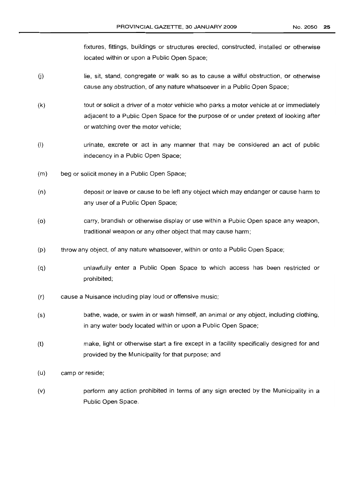fixtures, fittings, buildings or structures erected, constructed, installed or otherwise located within or upon a Public Open Space;

- U) lie, sit, stand, congregate or walk so as to cause a wilful obstruction, or otherwise cause any obstruction, of any nature whatsoever in a Public Open Space;
- (k) tout or solicit a driver of a motor vehicle who parks a motor vehicle at or immediately adjacent to a Public Open Space for the purpose of or under pretext of looking after or watching over the motor vehicle;
- (I) urinate, excrete or act in any manner that may be considered an act of public indecency in a Public Open Space;
- (m) beg or solicit money in a Public Open Space;
- (n) deposit or leave or cause to be left any object which may endanger or cause harm to any user of a Public Open Space;
- (0) carry, brandish or otherwise display or use within a Public Open space any weapon, traditional weapon or any other object that may cause harm;
- (p) throw any object, of any nature whatsoever, within or onto a Public Open Space;
- (q) unlawfully enter a Public Open Space to which access has been restricted or prohibited;
- (r) cause a Nuisance including play loud or offensive music;
- (5) bathe, wade, or swim in or wash himself, an animal or any object, including clothing, in any water body located within or upon a Public Open Space;
- (t) make, light or otherwise start a fire except in a facility specifically designed for and provided by the Municipality for that purpose; and
- (u) camp or reside;
- (v) perform any action prohibited in terms of any sign erected by the Municipality in a Public Open Space.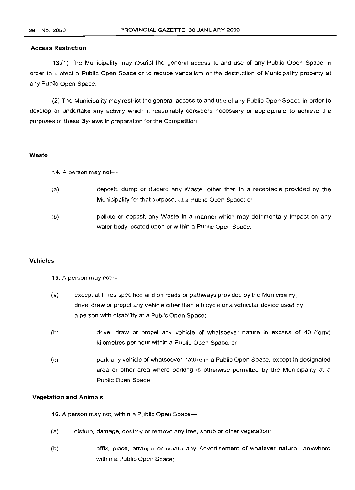## Access Restriction

13.(1) The Municipality may restrict the general access to and use of any Public Open Space in order to protect a Public Open Space or to reduce vandalism or the destruction of Municipality property at any Public Open Space.

(2) The Municipality may restrict the general access to and use of any Public Open Space in order to develop or undertake any activity which it reasonably considers necessary or appropriate to achieve the purposes of these By-laws in preparation for the Competition.

#### Waste

14. A person may not-

- (a) deposit, dump or discard any Waste, other than in a receptacle provided by the Municipality for that purpose, at a Public Open Space; or
- (b) pollute or deposit any Waste in a manner which may detrimentally impact on any water body located upon or within a Public Open Space.

#### Vehicles

#### 15. A person may not-

- (a) except at times specified and on roads or pathways provided by the Municipality, drive, draw or propel any vehicle other than a bicycle or a vehicular device used by a person with disability at a Public Open Space;
- (b) drive, draw or propel any vehicle of whatsoever nature in excess of 40 (forty) kilometres per hour within a Public Open Space; or
- (c) park any vehicle of whatsoever nature in a Public Open Space, except in designated area or other area where parking is otherwise permitted by the Municipality at a Public Open Space.

## Vegetation and Animals

16. A person may not, within a Public Open Space-

- (a) disturb, damage, destroy or remove any tree, shrub or other vegetation;
- (b) affix, place, arrange or create any Advertisement of whatever nature anywhere within a Public Open Space;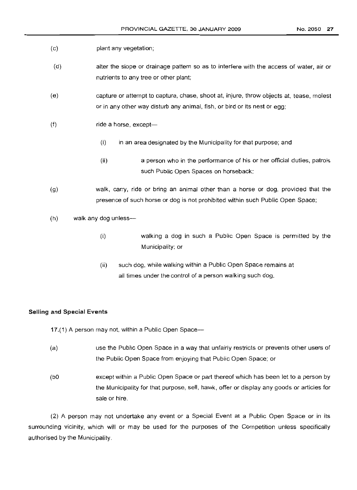- (c) plant any vegetation;
- (d) alter the slope or drainage pattern so as to interfere with the access of water, air or nutrients to any tree or other plant;
- (e) capture or attempt to capture, chase, shoot at, injure, throw objects at, tease, molest or in any other way disturb any animal, fish, or bird or its nest or egg;
- (f) ride a horse, except-
	- $(i)$  in an area designated by the Municipality for that purpose; and
	- (ii) a person who in the performance of his or her official duties, patrols such Public Open Spaces on horseback;
- (g) walk, carry, ride or bring an animal other than a horse or dog, provided that the presence of such horse or dog is not prohibited within such Public Open Space;
- (h) walk any dog unless-
	- (i) walking a dog in such a Public Open Space is permitted by the Municipality; or
	- (ii) such dog, while walking within a Public Open Space remains at all times under the control of a person walking such dog.

## **Selling and Special Events**

17.(1) A person may not, within a Public Open Space-

- (a) use the Public Open Space in a way that unfairly restricts or prevents other users of the Public Open Space from enjoying that Public Open Space; or
- (bO except within a Public Open Space or part thereof which has been let to a person by the Municipality for that purpose, sell, hawk, offer or display any goods or articles for sale or hire.

(2) A person may not undertake any event or a Special Event at a Public Open Space or in its surrounding vicinity, which will or may be used for the purposes of the Competition unless specifically authorised by the Municipality.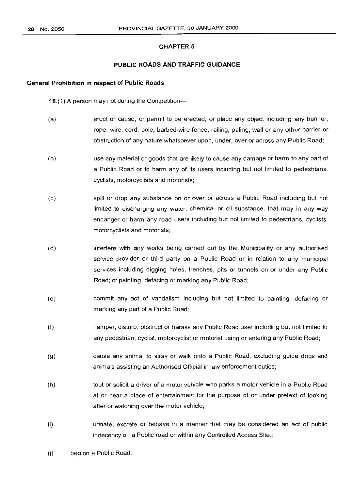## **CHAPTER 5**

## **PUBLIC ROADS AND TRAFFIC GUIDANCE**

## **General Prohibition in respect of Public Roads**

18.(1) A person may not during the Competition--

- (a) erect or cause, or permit to be erected, or place any object including any banner, rope, wire, cord, pole, barbed-wire fence, railing, paling, wall or any other barrier or obstruction of any nature whatsoever upon, under, over or across any Public Road;
- (b) use any material or goods that are likely to cause any damage or harm to any part of a Public Road or to harm any of its users including but not limited to pedestrians, cyclists, motorcyclists and motorists;
- (c) spill or drop any substance on or over or across a Public Road including but not limited to discharging any water, chemical or oil substance, that may in any way endanger or harm any road users including but not limited to pedestrians, cyclists, motorcyclists and motorists;
- (d) interfere with any works being carried out by the Municipality or any authorised service provider or third party on a Public Road or in relation to any municipal services including digging holes, trenches, pits or tunnels on or under any Public Road; or painting, defacing or marking any Public Road;
- (e) commit any act of vandalism including but not limited to painting, defacing or marking any part of a Public Road;
- (f) hamper, disturb, obstruct or harass any Public Road user including but not limited to any pedestrian, cyclist, motorcyclist or motorist using or entering any Public Road;
- (g) cause any animal to stray or walk onto a Public Road, excluding guide dogs and animals assisting an Authorised Official in law enforcement duties;
- (h) tout or solicit a driver of a motor vehicle who parks a motor vehicle in a Public Road at or near a place of entertainment for the purpose of or under pretext of looking after or watching over the motor vehicle;
- (i) urinate, excrete or behave in a manner that may be considered an act of public indecency on a Public road or within any Controlled Access Site.;
- (j) beg on a Public Road.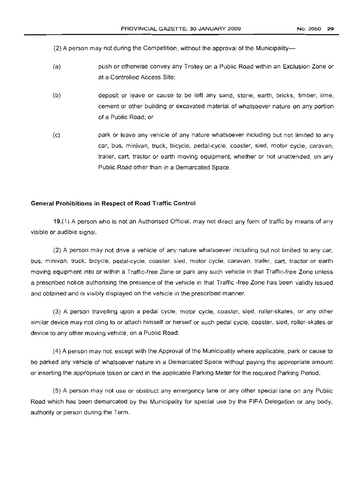NO.2050 **29**

(2) A person may not during the Competition, without the approval of the Municipality-

- (a) push or otherwise convey any Trolley on a Public Road within an Exclusion Zone or at a Controlled Access Site;
- (b) deposit or leave or cause to be left any sand, stone, earth, bricks, timber, lime, cement or other building or excavated material of whatsoever nature on any portion of a Public Road; or
- (c) park or leave any vehicle of any nature whatsoever including but not limited to any car, bus, minivan, truck, bicycle, pedal-cycle, coaster, sled, motor cycle, caravan, trailer, cart, tractor or earth moving equipment, whether or not unattended, on any Public Road other than in a Demarcated Space.

## **General Prohibitions in Respect of Road Traffic Control**

19.(1) A person who is not an Authorised Official, may not direct any form of traffic by means of any visible or audible signal.

(2) A person may not drive a vehicle of any nature whatsoever including but not limited to any car, bus, minivan, truck, bicycle, pedal-cycle, coaster, sled, motor cycle, caravan, trailer, cart, tractor or earth moving equipment into or within a Traffic-free Zone or park any such vehicle in that Traffic-free Zone unless a prescribed notice authorising the presence of the vehicle in that Traffic -free Zone has been validly issued and obtained and is visibly displayed on the vehicle in the prescribed manner.

(3) A person travelling upon a pedal cycle, motor cycle, coaster, sled, roller-skates, or any other similar device may not cling to or attach himself or herself or such pedal cycle, coaster, sled, roller-skates or device to any other moving vehicle, on a Public Road.

(4) A person may not, except with the Approval of the Municipality where applicable, park or cause to be parked any vehicle of whatsoever nature in a Demarcated Space without paying the appropriate amount or inserting the appropriate token or card in the applicable Parking Meter for the required Parking Period.

(5) A person may not use or obstruct any emergency lane or any other special lane on any Public Road which has been demarcated by the Municipality for special use by the FIFA Delegation or any body, authority or person during the Term.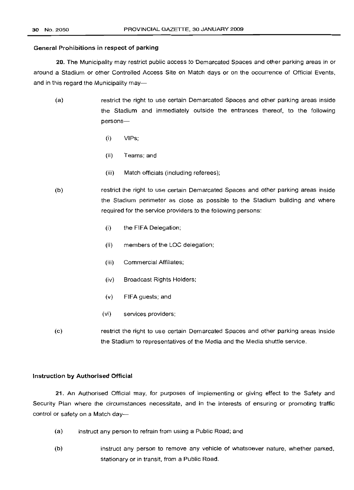## General Prohibitions in respect of parking

20. The Municipality may restrict public access to Demarcated Spaces and other parking areas in or around a Stadium or other Controlled Access Site on Match days or on the occurrence of Official Events, and in this regard the Municipality may-

- (a) restrict the right to use certain Demarcated Spaces and other parking areas inside the Stadium and immediately outside the entrances thereof, to the following persons-
	- (i) VIPs;
	- (ii) Teams; and
	- (iii) Match officials (including referees);
- (b) restrict the right to use certain Demarcated Spaces and other parking areas inside the Stadium perimeter as close as possible to the Stadium building and where required for the service providers to the following persons:
	- (i) the FIFA Delegation;
	- (ii) members of the LOC delegation;
	- (iii) Commercial Affiliates;
	- (iv) Broadcast Rights Holders;
	- (v) FIFA guests; and
	- (vi) services providers;
- (c) restrict the right to use certain Demarcated Spaces and other parking areas inside the Stadium to representatives of the Media and the Media shuttle service.

## Instruction by Authorised Official

21. An Authorised Official may, for purposes of implementing or giving effect to the Safety and Security Plan where the circumstances necessitate, and in the interests of ensuring or promoting traffic control or safety on a Match day-

- (a) instruct any person to refrain from using a Public Road; and
- (b) instruct any person to remove any vehicle of whatsoever nature, whether parked, stationary or in transit, from a Public Road.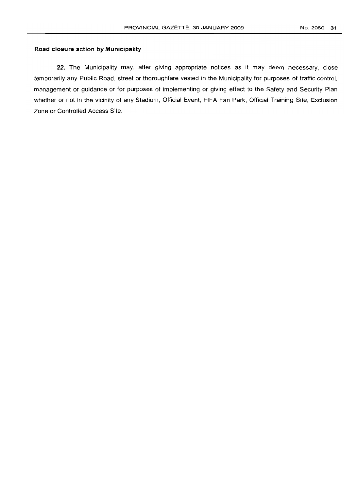## **Road closure action by Municipality**

22. The Municipality may, after giving appropriate notices as it may deem necessary, close temporarily any Public Road, street or thoroughfare vested in the Municipality for purposes of traffic control, management or guidance or for purposes of implementing or giving effect to the Safety and Security Plan whether or not in the vicinity of any Stadium, Official Event, FIFA Fan Park, Official Training Site, Exclusion Zone or Controlled Access Site.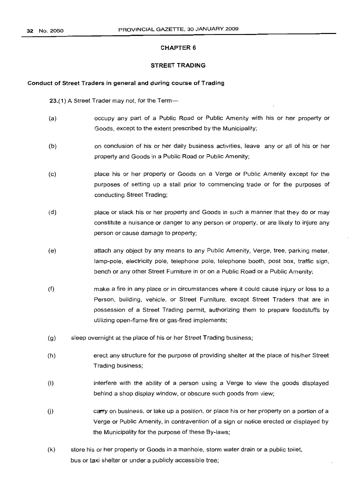## CHAPTER 6

#### STREET TRADING

#### Conduct of Street Traders in general and during course of Trading

23.(1) A Street Trader may not, for the Term-

- (a) occupy any part of a Public Road or Public Amenity with his or her property or Goods, except to the extent prescribed by the Municipality;
- (b) on conclusion of his or her daily business activities, leave any or all of his or her property and Goods in a Public Road or Public Amenity;
- (c) place his or her property or Goods on a Verge or Public Amenity except for the purposes of setting up a stall prior to commencing trade or for the purposes of conducting Street Trading;
- (d) place or stack his or her property and Goods in such a manner that they do or may constitute a nuisance or danger to any person or property, or are likely to injure any person or cause damage to property;
- (e) attach any object by any means to any Public Amenity, Verge, tree, parking meter, lamp-pole, electricity pole, telephone pole, telephone booth, post box, traffic sign, bench or any other Street Furniture in or on a Public Road or a Public Amenity;
- (f) make a fire in any place or in circumstances where it could cause injury or loss to a Person, building, vehicle, or Street Furniture, except Street Traders that are in possession of a Street Trading permit, authorizing them to prepare foodstuffs by utilizing open-flame fire or gas-fired implements;
- (g) sleep overnight at the place of his or her Street Trading business;
- (h) erect any structure for the purpose of providing shelter at the place of his/her Street Trading business;
- (i) interfere with the ability of a person using a Verge to view the goods displayed behind a shop display window, or obscure such goods from view;
- $U$  carry on business, or take up a position, or place his or her property on a portion of a Verge or Public Amenity, in contravention of a sign or notice erected or displayed by the Municipality for the purpose of these By-laws;
- (k) store his or her property or Goods in a manhole, storm water drain or a public toilet, bus or taxi shelter or under a publicly accessible tree;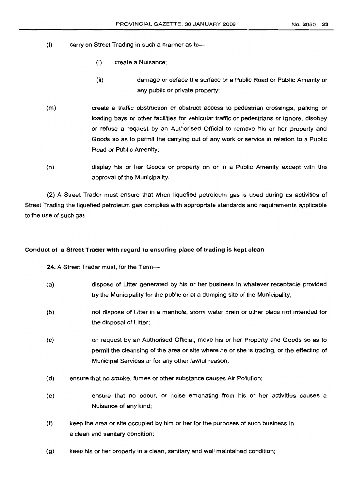- (I) carry on Street Trading in such a manner as to-
	- (i) create a Nuisance;
	- (ii) damage or deface the surface of a Public Road or Public Amenity or any public or private property;
- (m) create a traffic obstruction or obstruct access to pedestrian crossings, parking or loading bays or other facilities for vehicular traffic or pedestrians or ignore, disobey or refuse a request by an Authorised Official to remove his or her property and Goods so as to permit the carrying out of any work or service in relation to a Public Road or Public Amenity;
- (n) display his or her Goods or property on or in a Public Amenity except with the approval of the Municipality.

(2) A Street Trader must ensure that when liquefied petroleum gas is used during its activities of Street Trading the liquefied petroleum gas complies with appropriate standards and requirements applicable to the use of such gas.

## Conduct of a Street Trader with regard to ensuring place of trading is kept clean

24. A Street Trader must, for the Term-

| (a) | dispose of Litter generated by his or her business in whatever receptacle provided<br>by the Municipality for the public or at a dumping site of the Municipality;                                                                  |
|-----|-------------------------------------------------------------------------------------------------------------------------------------------------------------------------------------------------------------------------------------|
| (b) | not dispose of Litter in a manhole, storm water drain or other place not intended for<br>the disposal of Litter;                                                                                                                    |
| (c) | on request by an Authorised Official, move his or her Property and Goods so as to<br>permit the cleansing of the area or site where he or she is trading, or the effecting of<br>Municipal Services or for any other lawful reason; |
| (d) | ensure that no smoke, fumes or other substance causes Air Pollution;                                                                                                                                                                |
| (e) | ensure that no odour, or noise emanating from his or her activities causes a<br>Nuisance of any kind;                                                                                                                               |
| (f) | keep the area or site occupied by him or her for the purposes of such business in<br>a clean and sanitary condition;                                                                                                                |

(g) keep his or her property in a clean, sanitary and well maintained condition;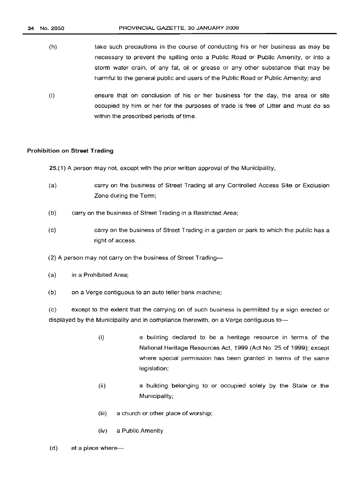- (h) take such precautions in the course of conducting his or her business as may be necessary to prevent the spilling onto a Public Road or Public Amenity, or into a storm water drain, of any fat, oil or grease or any other substance that may be harmful to the general public and users of the Public Road or Public Amenity; and
- (i) ensure that on conclusion of his or her business for the day, the area or site occupied by him or her for the purposes of trade is free of Litter and must do so within the prescribed periods of time.

## **Prohibition on Street Trading**

25.(1) A person may not, except with the prior written approval of the Municipality,

- (a) carryon the business of Street Trading at any Controlled Access Site or Exclusion Zone during the Term;
- (b) carryon the business of Street Trading in a Restricted Area;
- (c) carryon the business of Street Trading in a garden or park to which the public has a right of access.
- (2) A person may not carry on the business of Street Trading---
- (a) in a Prohibited Area;
- (b) on a Verge contiguous to an auto teller bank machine;

(c) except to the extent that the carrying on of such business is permitted by a sign erected or displayed by the Municipality and in compliance therewith, on a Verge contiguous to-

- (i) a building declared to be a heritage resource in terms of the National Heritage Resources Act, 1999 (Act No. 25 of 1999); except where special permission has been granted in terms of the same legislation;
- (ii) a building belonging to or occupied solely by the State or the Municipality;
- (iii) a church or other place of worship;
- (iv) a Public Amenity
- $(d)$  at a place where-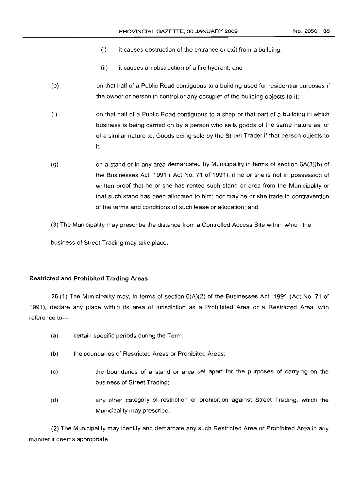- $(i)$  it causes obstruction of the entrance or exit from a building;
- (ii) it causes an obstruction of a fire hydrant; and
- (e) on that half of a Public Road contiguous to a building used for residential purposes if the owner or person in control or any occupier of the building objects to it;
- (f) on that half of a Public Road contiguous to a shop or that part of a building in which business is being carried on by a person who sells goods of the same nature as, or of a similar nature to, Goods being sold by the Street Trader if that person objects to it;
- (g) on a stand or in any area demarcated by Municipality in terms of section 6A(3)(b) of the Businesses Act, 1991 ( Act No. 71 of 1991), if he or she is not in possession of written proof that he or she has rented such stand or area from the Municipality or that such stand has been allocated to him; nor may he or she trade in contravention of the terms and conditions of such lease or allocation; and
- (3) The Municipality may prescribe the distance from a Controlled Access Site within which the

business of Street Trading may take place.

## **Restricted and Prohibited Trading Areas**

26.(1) The Municipality may, in terms of section 6(A)(2) of the Businesses Act, 1991 (Act No. 71 of 1991), declare any place within its area of jurisdiction as a Prohibited Area or a Restricted Area, with reference to-

- (a) certain specific periods during the Term;
- (b) the boundaries of Restricted Areas or Prohibited Areas;
- (c) the boundaries of a stand or area set apart for the purposes of carrying on the business of Street Trading;
- (d) any other category of restriction or prohibition against Street Trading, which the Municipality may prescribe.

(2) The Municipality may identify and demarcate any such Restricted Area or Prohibited Area in any manner it deems appropriate.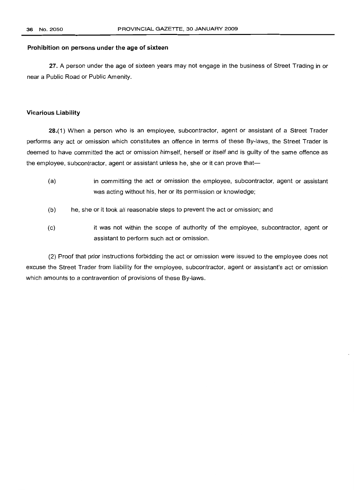### Prohibition on persons under the age of sixteen

27. A person under the age of sixteen years may not engage in the business of Street Trading in or near a Public Road or Public Amenity.

#### Vicarious Liability

28.(1) When a person who is an employee, subcontractor, agent or assistant of a Street Trader performs any act or omission which constitutes an offence in terms of these By-laws, the Street Trader is deemed to have committed the act or omission himself, herself or itself and is guilty of the same offence as the employee, subcontractor, agent or assistant unless he, she or it can prove that-

- (a) in committing the act or omission the employee, subcontractor, agent or assistant was acting without his, her or its permission or knowledge;
- (b) he, she or it took all reasonable steps to prevent the act or omission; and
- (c) it was not within the scope of authority of the employee, subcontractor, agent or assistant to perform such act or omission.

(2) Proof that prior instructions forbidding the act or omission were issued to the employee does not excuse the Street Trader from liability for the employee, subcontractor, agent or assistant's act or omission which amounts to a contravention of provisions of these By-laws.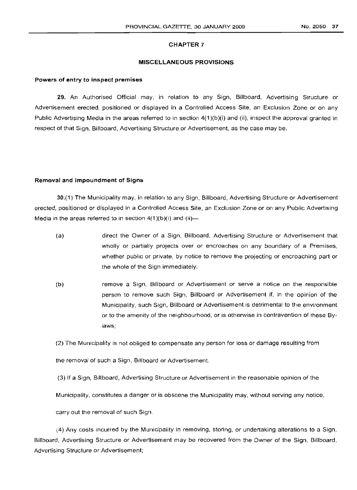#### CHAPTER 7

#### MISCELLANEOUS PROVISIONS

#### Powers of entry to inspect premises

29. An Authorised Official may, in relation to any Sign, Billboard, Advertising Structure or Advertisement erected, positioned or displayed in a Controlled Access Site, an Exclusion Zone or on any Public Advertising Media in the areas referred to in section 4(1 )(b)(i) and (ii), inspect the approval granted in respect of that Sign, Billboard, Advertising Structure or Advertisement, as the case may be.

#### Removal and impoundment of Signs

30.(1) The Municipality may, in relation to any Sign, Billboard, Advertising Structure or Advertisement erected, positioned or displayed in a Controlled Access Site, an Exclusion Zone or on any Public Advertising Media in the areas referred to in section  $4(1)(b)(i)$  and  $(ii)$ —

- (a) direct the Owner of a Sign, Billboard, Advertising Structure or Advertisement that wholly or partially projects over or encroaches on any boundary of a Premises, whether public or private, by notice to remove the projecting or encroaching part or the whole of the Sign immediately.
- (b) remove a Sign, Billboard or Advertisement or serve a notice on the responsible person to remove such Sign, Billboard or Advertisement if, in the opinion of the Municipality, such Sign, Billboard or Advertisement is detrimental to the environment or to the amenity of the neighbourhood, or is otherwise in contravention of these Bylaws;

(2) The Municipality is not obliged to compensate any person for loss or damage resulting from

the removal of such a Sign, Billboard or Advertisement.

(3) If a Sign, Billboard, Advertising Structure or Advertisement in the reasonable opinion of the

Municipality, constitutes a danger or is obscene the Municipality may, without serving any notice,

carry out the removal of such Sign.

(4) Any costs incurred by the Municipality in removing, storing, or undertaking alterations to a Sign, Billboard, Advertising Structure or Advertisement may be recovered from the Owner of the Sign, Billboard, Advertising Structure or Advertisement;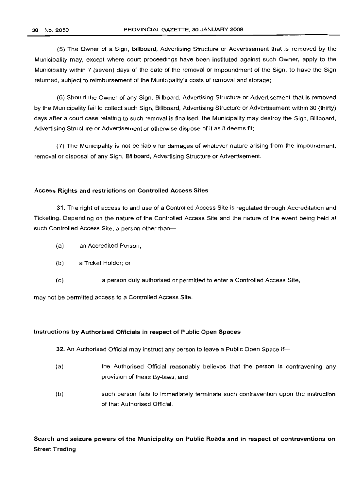(5) The Owner of a Sign, Billboard, Advertising Structure or Advertisement that is removed by the Municipality may, except where court proceedings have been instituted against such Owner, apply to the Municipality within 7 (seven) days of the date of the removal or impoundment of the Sign, to have the Sign returned, subject to reimbursement of the Municipality's costs of removal and storage;

(6) Should the Owner of any Sign, Billboard, Advertising Structure or Advertisement that is removed by the Municipality fail to collect such Sign, Billboard, Advertising Structure or Advertisement within 30 (thirty) days after a court case relating to such removal is finalised, the Municipality may destroy the Sign, Billboard, Advertising Structure or Advertisement or otherwise dispose of it as it deems fit;

(7) The Municipality is not be liable for damages of whatever nature arising from the impoundment, removal or disposal of any Sign, Billboard, Advertising Structure or Advertisement.

#### Access Rights and restrictions on Controlled Access Sites

31. The right of access to and use of a Controlled Access Site is regulated through Accreditation and Ticketing. Depending on the nature of the Controlled Access Site and the nature of the event being held at such Controlled Access Site, a person other than-

- (a) an Accredited Person;
- (b) a Ticket Holder; or
- (c) a person duly authorised or permitted to enter a Controlled Access Site,

may not be permitted access to a Controlled Access Site.

## Instructions by Authorised Officials in respect of Public Open Spaces

32. An Authorised Official may instruct any person to leave <sup>a</sup> Public Open Space if-

- (a) the Authorised Official reasonably believes that the person is contravening any provision of these By-laws, and
- (b) such person fails to immediately terminate such contravention upon the instruction of that Authorised Official.

Search and seizure powers of the Municipality on Public Roads and in respect of contraventions on Street Trading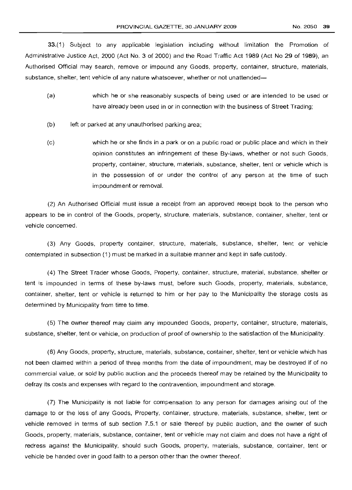33.(1) Subject to any applicable legislation including without limitation the Promotion of Administrative Justice Act, 2000 (Act No.3 of 2000) and the Road Traffic Act 1989 (Act No 29 of 1989), an Authorised Official may search, remove or impound any Goods, property, container, structure, materials, substance, shelter, tent vehicle of any nature whatsoever, whether or not unattended-

- (a) which he or she reasonably suspects of being used or are intended to be used or have already been used in or in connection with the business of Street Trading;
- (b) left or parked at any unauthorised parking area;
- (c) which he or she finds in a park or on a public road or public place and which in their opinion constitutes an infringement of these By-laws, whether or not such Goods, property, container, structure, materials, substance, shelter, tent or vehicle which is in the possession of or under the control of any person at the time of such impoundment or removal.

(2) An Authorised Official must issue a receipt from an approved receipt book to the person who appears to be in control of the Goods, property, structure, materials, substance, container, shelter, tent or vehicle concerned.

(3) Any Goods, property container, structure, materials, substance, shelter, tent or vehicle contemplated in subsection (1) must be marked in a suitable manner and kept in safe custody.

(4) The Street Trader whose Goods, Property, container, structure, material, substance, shelter or tent is impounded in terms of these by-laws must, before such Goods, property, materials, substance, container, shelter, tent or vehicle is returned to him or her pay to the Municipality the storage costs as determined by Municipality from time to time.

(5) The owner thereof may claim any impounded Goods, property, container, structure, materials, substance, shelter, tent or vehicle, on production of proof of ownership to the satisfaction of the Municipality.

(6) Any Goods, property, structure, materials, substance, container, shelter, tent or vehicle which has not been claimed within a period of three months from the date of impoundment, may be destroyed if of no commercial value, or sold by public auction and the proceeds thereof may be retained by the Municipality to defray its costs and expenses with regard to the contravention, impoundment and storage.

(7) The Municipality is not liable for compensation to any person for damages arising out of the damage to or the loss of any Goods, Property, container, structure, materials, substance, shelter, tent or vehicle removed in terms of sub section 7.5.1 or sale thereof by public auction, and the owner of such Goods, property, materials, substance, container, tent or vehicle may not claim and does not have a right of redress against the Municipality, should such Goods, property, materials, substance, container, tent or vehicle be handed over in good faith to a person other than the owner thereof.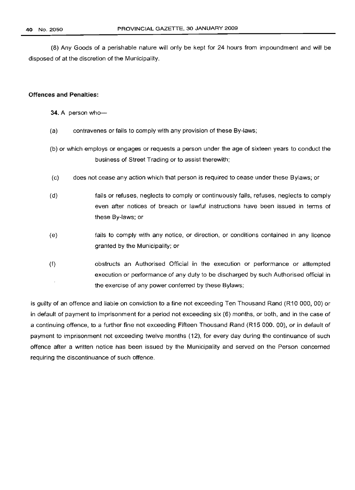(8) Any Goods of a perishable nature will only be kept for 24 hours from impoundment and will be disposed of at the discretion of the Municipality.

#### **Offences and Penalties:**

- 34. A person who-
- (a) contravenes or fails to comply with any provision of these By-laws;
- (b) or which employs or engages or requests a person under the age of sixteen years to conduct the business of Street Trading or to assist therewith;
- (c) does not cease any action which that person is required to cease under these Bylaws; or
- (d) fails or refuses, neglects to comply or continuously fails, refuses, neglects to comply even after notices of breach or lawful instructions have been issued in terms of these By-laws; or
- (e) fails to comply with any notice, or direction, or conditions contained in any licence granted by the Municipality; or
- (f) obstructs an Authorised Official in the execution or performance or attempted execution or performance of any duty to be discharged by such Authorised official in the exercise of any power conferred by these Bylaws;

is guilty of an offence and liable on conviction to a fine not exceeding Ten Thousand Rand (R10 000, 00) or in default of payment to imprisonment for a period not exceeding six (6) months, or both, and in the case of a continuing offence, to a further fine not exceeding Fifteen Thousand Rand (R15 000. 00), or in default of payment to imprisonment not exceeding twelve months (12), for every day during the continuance of such offence after a written notice has been issued by the Municipality and served on the Person concerned requiring the discontinuance of such offence.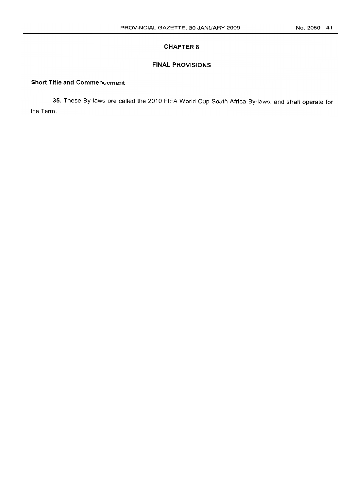## **CHAPTER 8**

## **FINAL PROVISIONS**

## **Short Title and Commencement**

35. These By-laws are called the 2010 FIFA World Cup South Africa By-laws, and shall operate for the Term.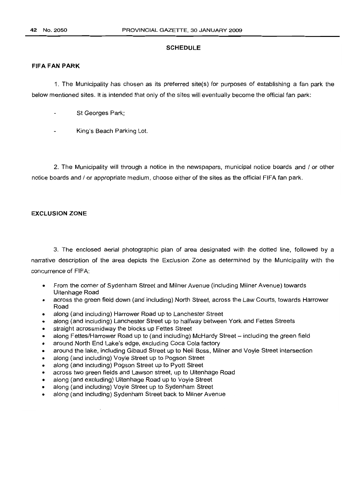#### **SCHEDULE**

#### **FIFA FAN PARK**

1. The Municipality has chosen as its preferred site(s) for purposes of establishing a fan park the below mentioned sites. It is intended that only of the sites will eventually become the official fan park:

- St Georges Park;
- King's Beach Parking Lot.

2. The Municipality will through a notice in the newspapers, municipal notice boards and / or other notice boards and / or appropriate medium, choose either of the sites as the official FIFA fan park.

## **EXCLUSION ZONE**

3. The enclosed aerial photographic plan of area designated with the dotted line, followed by a narrative description of the area depicts the Exclusion Zone as determined by the Municipality with the concurrence of FIFA:

- From the corner of Sydenham Street and Milner Avenue (including Milner Avenue) towards Uitenhage Road
- across the green field down (and including) North Street, across the Law Courts, towards Harrower Road
- along (and including) Harrower Road up to Lanchester Street
- along (and including) Lanchester Street up to halfway between York and Fettes Streets
- straight acrossmidway the blocks up Fettes Street
- along Fettes/Harrower Road up to (and including) McHardy Street including the green field
- around North End Lake's edge, excluding Coca Cola factory
- around the lake, including Gibaud Street up to Neil Boss, Milner and Voyle Street intersection
- along (and including) Voyle Street up to Pogson Street
- along (and including) Pogson Street up to Pyott Street
- across two green fields and Lawson street, up to Uitenhage Road
- along (and excluding) Uitenhage Road up to Voyle Street
- along (and including) Voyle Street up to Sydenham Street
- along (and including) Sydenham Street back to Milner Avenue